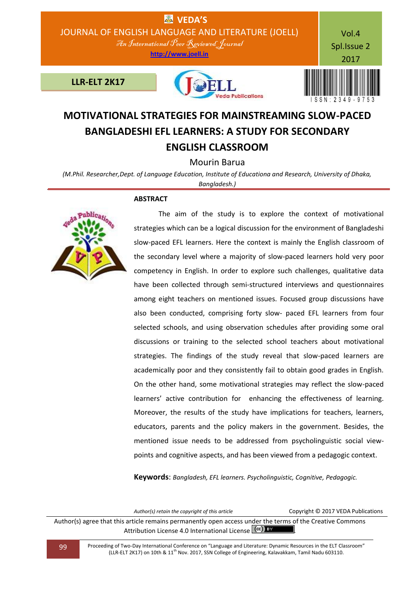

# **MOTIVATIONAL STRATEGIES FOR MAINSTREAMING SLOW-PACED BANGLADESHI EFL LEARNERS: A STUDY FOR SECONDARY ENGLISH CLASSROOM**

# Mourin Barua

*(M.Phil. Researcher,Dept. of Language Education, Institute of Educationa and Research, University of Dhaka, Bangladesh.)*

#### **ABSTRACT**



 The aim of the study is to explore the context of motivational strategies which can be a logical discussion for the environment of Bangladeshi slow-paced EFL learners. Here the context is mainly the English classroom of the secondary level where a majority of slow-paced learners hold very poor competency in English. In order to explore such challenges, qualitative data have been collected through semi-structured interviews and questionnaires among eight teachers on mentioned issues. Focused group discussions have also been conducted, comprising forty slow- paced EFL learners from four selected schools, and using observation schedules after providing some oral discussions or training to the selected school teachers about motivational strategies. The findings of the study reveal that slow-paced learners are academically poor and they consistently fail to obtain good grades in English. On the other hand, some motivational strategies may reflect the slow-paced learners' active contribution for enhancing the effectiveness of learning. Moreover, the results of the study have implications for teachers, learners, educators, parents and the policy makers in the government. Besides, the mentioned issue needs to be addressed from psycholinguistic social viewpoints and cognitive aspects, and has been viewed from a pedagogic context.

**Keywords**: *Bangladesh, EFL learners. Psycholinguistic, Cognitive, Pedagogic.*

| Author(s) retain the copyright of this article                                                                                                                     | Copyright © 2017 VEDA Publications |
|--------------------------------------------------------------------------------------------------------------------------------------------------------------------|------------------------------------|
| Author(s) agree that this article remains permanently open access under the terms of the Creative Commons<br>Attribution License 4.0 International License (CC) BY |                                    |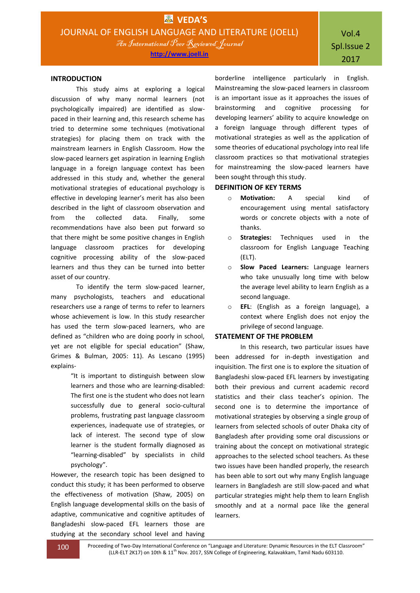#### **INTRODUCTION**

This study aims at exploring a logical discussion of why many normal learners (not psychologically impaired) are identified as slowpaced in their learning and, this research scheme has tried to determine some techniques (motivational strategies) for placing them on track with the mainstream learners in English Classroom. How the slow-paced learners get aspiration in learning English language in a foreign language context has been addressed in this study and, whether the general motivational strategies of educational psychology is effective in developing learner's merit has also been described in the light of classroom observation and from the collected data. Finally, some recommendations have also been put forward so that there might be some positive changes in English language classroom practices for developing cognitive processing ability of the slow-paced learners and thus they can be turned into better asset of our country.

To identify the term slow-paced learner, many psychologists, teachers and educational researchers use a range of terms to refer to learners whose achievement is low. In this study researcher has used the term slow-paced learners, who are defined as "children who are doing poorly in school, yet are not eligible for special education" (Shaw, Grimes & Bulman, 2005: 11). As Lescano (1995) explains-

> "It is important to distinguish between slow learners and those who are learning-disabled: The first one is the student who does not learn successfully due to general socio-cultural problems, frustrating past language classroom experiences, inadequate use of strategies, or lack of interest. The second type of slow learner is the student formally diagnosed as "learning-disabled" by specialists in child psychology".

However, the research topic has been designed to conduct this study; it has been performed to observe the effectiveness of motivation (Shaw, 2005) on English language developmental skills on the basis of adaptive, communicative and cognitive aptitudes of Bangladeshi slow-paced EFL learners those are studying at the secondary school level and having

borderline intelligence particularly in English. Mainstreaming the slow-paced learners in classroom is an important issue as it approaches the issues of brainstorming and cognitive processing for developing learners' ability to acquire knowledge on a foreign language through different types of motivational strategies as well as the application of some theories of educational psychology into real life classroom practices so that motivational strategies for mainstreaming the slow-paced learners have been sought through this study.

#### **DEFINITION OF KEY TERMS**

- o **Motivation:** A special kind of encouragement using mental satisfactory words or concrete objects with a note of thanks.
- o **Strategies:** Techniques used in the classroom for English Language Teaching (ELT).
- o **Slow Paced Learners:** Language learners who take unusually long time with below the average level ability to learn English as a second language.
- o **EFL**: (English as a foreign language), a context where English does not enjoy the privilege of second language.

## **STATEMENT OF THE PROBLEM**

In this research, two particular issues have been addressed for in-depth investigation and inquisition. The first one is to explore the situation of Bangladeshi slow-paced EFL learners by investigating both their previous and current academic record statistics and their class teacher's opinion. The second one is to determine the importance of motivational strategies by observing a single group of learners from selected schools of outer Dhaka city of Bangladesh after providing some oral discussions or training about the concept on motivational strategic approaches to the selected school teachers. As these two issues have been handled properly, the research has been able to sort out why many English language learners in Bangladesh are still slow-paced and what particular strategies might help them to learn English smoothly and at a normal pace like the general learners.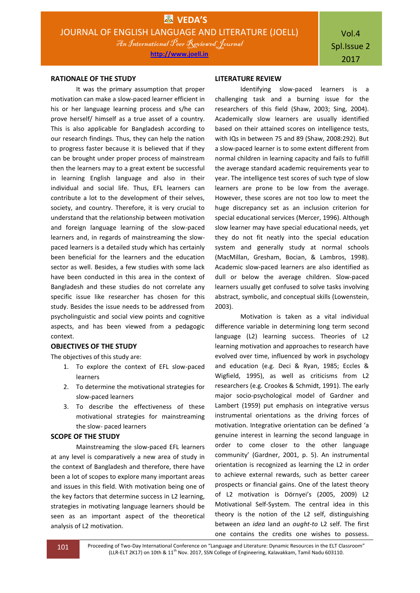#### **RATIONALE OF THE STUDY**

It was the primary assumption that proper motivation can make a slow-paced learner efficient in his or her language learning process and s/he can prove herself/ himself as a true asset of a country. This is also applicable for Bangladesh according to our research findings. Thus, they can help the nation to progress faster because it is believed that if they can be brought under proper process of mainstream then the learners may to a great extent be successful in learning English language and also in their individual and social life. Thus, EFL learners can contribute a lot to the development of their selves, society, and country. Therefore, it is very crucial to understand that the relationship between motivation and foreign language learning of the slow-paced learners and, in regards of mainstreaming the slowpaced learners is a detailed study which has certainly been beneficial for the learners and the education sector as well. Besides, a few studies with some lack have been conducted in this area in the context of Bangladesh and these studies do not correlate any specific issue like researcher has chosen for this study. Besides the issue needs to be addressed from psycholinguistic and social view points and cognitive aspects, and has been viewed from a pedagogic context.

#### **OBJECTIVES OF THE STUDY**

The objectives of this study are:

- 1. To explore the context of EFL slow-paced learners
- 2. To determine the motivational strategies for slow-paced learners
- 3. To describe the effectiveness of these motivational strategies for mainstreaming the slow- paced learners

# **SCOPE OF THE STUDY**

Mainstreaming the slow-paced EFL learners at any level is comparatively a new area of study in the context of Bangladesh and therefore, there have been a lot of scopes to explore many important areas and issues in this field. With motivation being one of the key factors that determine success in L2 learning, strategies in motivating language learners should be seen as an important aspect of the theoretical analysis of L2 motivation.

#### **LITERATURE REVIEW**

Identifying slow-paced learners is a challenging task and a burning issue for the researchers of this field (Shaw, 2003; Sing, 2004). Academically slow learners are usually identified based on their attained scores on intelligence tests, with IQs in between 75 and 89 (Shaw, 2008:292). But a slow-paced learner is to some extent different from normal children in learning capacity and fails to fulfill the average standard academic requirements year to year. The intelligence test scores of such type of slow learners are prone to be low from the average. However, these scores are not too low to meet the huge discrepancy set as an inclusion criterion for special educational services (Mercer, 1996). Although slow learner may have special educational needs, yet they do not fit neatly into the special education system and generally study at normal schools (MacMillan, Gresham, Bocian, & Lambros, 1998). Academic slow-paced learners are also identified as dull or below the average children. Slow-paced learners usually get confused to solve tasks involving abstract, symbolic, and conceptual skills (Lowenstein, 2003).

Motivation is taken as a vital individual difference variable in determining long term second language (L2) learning success. Theories of L2 learning motivation and approaches to research have evolved over time, influenced by work in psychology and education (e.g. Deci & Ryan, 1985; Eccles & Wigfield, 1995), as well as criticisms from L2 researchers (e.g. Crookes & Schmidt, 1991). The early major socio-psychological model of Gardner and Lambert (1959) put emphasis on integrative versus instrumental orientations as the driving forces of motivation. Integrative orientation can be defined 'a genuine interest in learning the second language in order to come closer to the other language community' (Gardner, 2001, p. 5). An instrumental orientation is recognized as learning the L2 in order to achieve external rewards, such as better career prospects or financial gains. One of the latest theory of L2 motivation is Dörnyei's (2005, 2009) L2 Motivational Self-System. The central idea in this theory is the notion of the L2 self, distinguishing between an *idea* land an *ought-to* L2 self. The first one contains the credits one wishes to possess.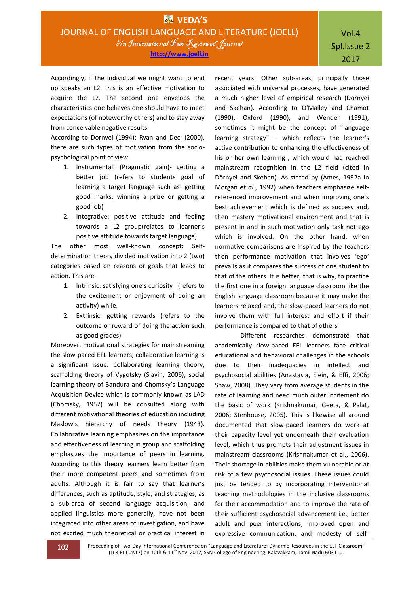Accordingly, if the individual we might want to end up speaks an L2, this is an effective motivation to acquire the L2. The second one envelops the characteristics one believes one should have to meet expectations (of noteworthy others) and to stay away from conceivable negative results.

According to Dornyei (1994); Ryan and Deci (2000), there are such types of motivation from the sociopsychological point of view:

- 1. Instrumental: (Pragmatic gain)- getting a better job (refers to students goal of learning a target language such as- getting good marks, winning a prize or getting a good job)
- 2. Integrative: positive attitude and feeling towards a L2 group(relates to learner's positive attitude towards target language)

The other most well-known concept: Selfdetermination theory divided motivation into 2 (two) categories based on reasons or goals that leads to action. This are-

- 1. Intrinsic: satisfying one's curiosity (refers to the excitement or enjoyment of doing an activity) while,
- 2. Extrinsic: getting rewards (refers to the outcome or reward of doing the action such as good grades)

Moreover, motivational strategies for mainstreaming the slow-paced EFL learners, collaborative learning is a significant issue. Collaborating learning theory, scaffolding theory of Vygotsky (Slavin, 2006), social learning theory of Bandura and Chomsky's Language Acquisition Device which is commonly known as LAD (Chomsky, 1957) will be consulted along with different motivational theories of education including Maslow's hierarchy of needs theory (1943). Collaborative learning emphasizes on the importance and effectiveness of learning in group and scaffolding emphasizes the importance of peers in learning. According to this theory learners learn better from their more competent peers and sometimes from adults. Although it is fair to say that learner's differences, such as aptitude, style, and strategies, as a sub-area of second language acquisition, and applied linguistics more generally, have not been integrated into other areas of investigation, and have not excited much theoretical or practical interest in

recent years. Other sub-areas, principally those associated with universal processes, have generated a much higher level of empirical research (Dörnyei and Skehan). According to O'Malley and Chamot (1990), Oxford (1990), and Wenden (1991), sometimes it might be the concept of "language learning strategy"  $-$  which reflects the learner's active contribution to enhancing the effectiveness of his or her own learning , which would had reached mainstream recognition in the L2 field (cited in Dörnyei and Skehan). As stated by (Ames, 1992a in Morgan *et al.*, 1992) when teachers emphasize selfreferenced improvement and when improving one's best achievement which is defined as success and, then mastery motivational environment and that is present in and in such motivation only task not ego which is involved. On the other hand, when normative comparisons are inspired by the teachers then performance motivation that involves 'ego' prevails as it compares the success of one student to that of the others. It is better, that is why, to practice the first one in a foreign language classroom like the English language classroom because it may make the learners relaxed and, the slow-paced learners do not involve them with full interest and effort if their performance is compared to that of others.

Different researches demonstrate that academically slow-paced EFL learners face critical educational and behavioral challenges in the schools due to their inadequacies in intellect and psychosocial abilities (Anastasia, Elein, & Effi, 2006; Shaw, 2008). They vary from average students in the rate of learning and need much outer incitement do the basic of work (Krishnakumar, Geeta, & Palat, 2006; Stenhouse, 2005). This is likewise all around documented that slow-paced learners do work at their capacity level yet underneath their evaluation level, which thus prompts their adjustment issues in mainstream classrooms (Krishnakumar et al., 2006). Their shortage in abilities make them vulnerable or at risk of a few psychosocial issues. These issues could just be tended to by incorporating interventional teaching methodologies in the inclusive classrooms for their accommodation and to improve the rate of their sufficient psychosocial advancement i.e., better adult and peer interactions, improved open and expressive communication, and modesty of self-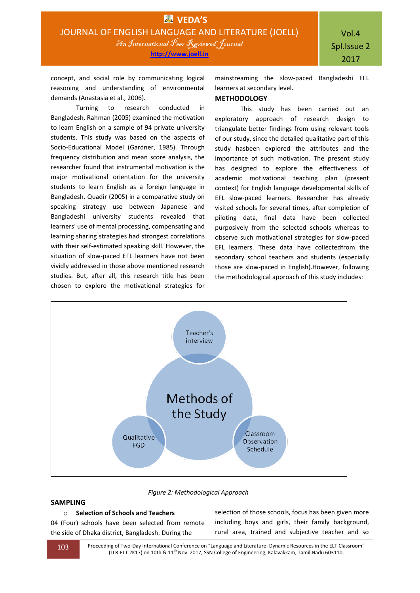concept, and social role by communicating logical reasoning and understanding of environmental demands (Anastasia et al., 2006).

Turning to research conducted in Bangladesh, Rahman (2005) examined the motivation to learn English on a sample of 94 private university students. This study was based on the aspects of Socio-Educational Model (Gardner, 1985). Through frequency distribution and mean score analysis, the researcher found that instrumental motivation is the major motivational orientation for the university students to learn English as a foreign language in Bangladesh. Quadir (2005) in a comparative study on speaking strategy use between Japanese and Bangladeshi university students revealed that learners' use of mental processing, compensating and learning sharing strategies had strongest correlations with their self-estimated speaking skill. However, the situation of slow-paced EFL learners have not been vividly addressed in those above mentioned research studies. But, after all, this research title has been chosen to explore the motivational strategies for

mainstreaming the slow-paced Bangladeshi EFL learners at secondary level.

## **METHODOLOGY**

This study has been carried out an exploratory approach of research design to triangulate better findings from using relevant tools of our study, since the detailed qualitative part of this study hasbeen explored the attributes and the importance of such motivation. The present study has designed to explore the effectiveness of academic motivational teaching plan (present context) for English language developmental skills of EFL slow-paced learners. Researcher has already visited schools for several times, after completion of piloting data, final data have been collected purposively from the selected schools whereas to observe such motivational strategies for slow-paced EFL learners. These data have collectedfrom the secondary school teachers and students (especially those are slow-paced in English).However, following the methodological approach of this study includes:



 *Figure 2: Methodological Approach* 

# **SAMPLING**

o **Selection of Schools and Teachers**

04 (Four) schools have been selected from remote the side of Dhaka district, Bangladesh. During the

selection of those schools, focus has been given more including boys and girls, their family background, rural area, trained and subjective teacher and so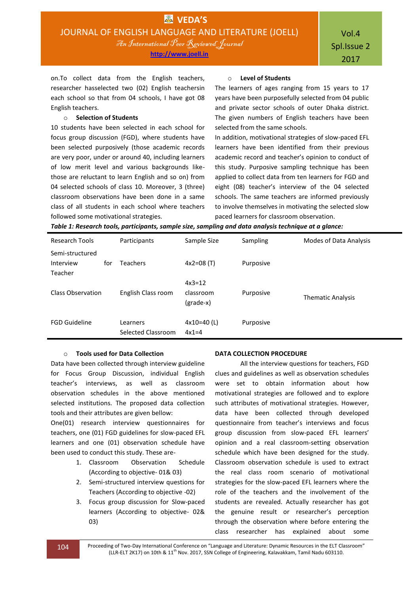on.To collect data from the English teachers, researcher hasselected two (02) English teachersin each school so that from 04 schools, I have got 08 English teachers.

#### o **Selection of Students**

10 students have been selected in each school for focus group discussion (FGD), where students have been selected purposively (those academic records are very poor, under or around 40, including learners of low merit level and various backgrounds likethose are reluctant to learn English and so on) from 04 selected schools of class 10. Moreover, 3 (three) classroom observations have been done in a same class of all students in each school where teachers followed some motivational strategies.

#### o **Level of Students**

The learners of ages ranging from 15 years to 17 years have been purposefully selected from 04 public and private sector schools of outer Dhaka district. The given numbers of English teachers have been selected from the same schools.

In addition, motivational strategies of slow-paced EFL learners have been identified from their previous academic record and teacher's opinion to conduct of this study. Purposive sampling technique has been applied to collect data from ten learners for FGD and eight (08) teacher's interview of the 04 selected schools. The same teachers are informed previously to involve themselves in motivating the selected slow paced learners for classroom observation.

*Table 1: Research tools, participants, sample size, sampling and data analysis technique at a glance:*

| Research Tools                          |     | Participants                   | Sample Size                        | Sampling  | Modes of Data Analysis   |
|-----------------------------------------|-----|--------------------------------|------------------------------------|-----------|--------------------------|
| Semi-structured<br>Interview<br>Teacher | for | <b>Teachers</b>                | $4x2=08(T)$                        | Purposive |                          |
| Class Observation                       |     | English Class room             | $4x3=12$<br>classroom<br>(grade-x) | Purposive | <b>Thematic Analysis</b> |
| <b>FGD Guideline</b>                    |     | Learners<br>Selected Classroom | $4x10=40$ (L)<br>$4x1=4$           | Purposive |                          |

#### o **Tools used for Data Collection**

Data have been collected through interview guideline for Focus Group Discussion, individual English teacher's interviews, as well as classroom observation schedules in the above mentioned selected institutions. The proposed data collection tools and their attributes are given bellow:

One(01) research interview questionnaires for teachers, one (01) FGD guidelines for slow-paced EFL learners and one (01) observation schedule have been used to conduct this study. These are-

- 1. Classroom Observation Schedule (According to objective- 01& 03)
- 2. Semi-structured interview questions for Teachers (According to objective -02)
- 3. Focus group discussion for Slow-paced learners (According to objective- 02& 03)

#### **DATA COLLECTION PROCEDURE**

All the interview questions for teachers, FGD clues and guidelines as well as observation schedules were set to obtain information about how motivational strategies are followed and to explore such attributes of motivational strategies. However, data have been collected through developed questionnaire from teacher's interviews and focus group discussion from slow-paced EFL learners' opinion and a real classroom-setting observation schedule which have been designed for the study. Classroom observation schedule is used to extract the real class room scenario of motivational strategies for the slow-paced EFL learners where the role of the teachers and the involvement of the students are revealed. Actually researcher has got the genuine result or researcher's perception through the observation where before entering the class researcher has explained about some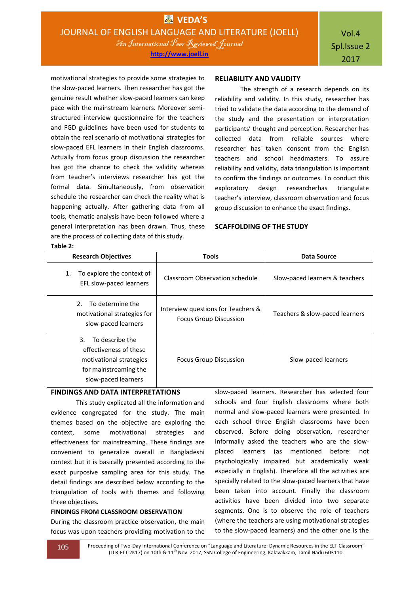motivational strategies to provide some strategies to the slow-paced learners. Then researcher has got the genuine result whether slow-paced learners can keep pace with the mainstream learners. Moreover semistructured interview questionnaire for the teachers and FGD guidelines have been used for students to obtain the real scenario of motivational strategies for slow-paced EFL learners in their English classrooms. Actually from focus group discussion the researcher has got the chance to check the validity whereas from teacher's interviews researcher has got the formal data. Simultaneously, from observation schedule the researcher can check the reality what is happening actually. After gathering data from all tools, thematic analysis have been followed where a general interpretation has been drawn. Thus, these are the process of collecting data of this study. **Table 2:**

#### **RELIABILITY AND VALIDITY**

The strength of a research depends on its reliability and validity. In this study, researcher has tried to validate the data according to the demand of the study and the presentation or interpretation participants' thought and perception. Researcher has collected data from reliable sources where researcher has taken consent from the English teachers and school headmasters. To assure reliability and validity, data triangulation is important to confirm the findings or outcomes. To conduct this exploratory design researcherhas triangulate teacher's interview, classroom observation and focus group discussion to enhance the exact findings.

#### **SCAFFOLDING OF THE STUDY**

| <b>Research Objectives</b>                                                                                                 | <b>Tools</b>                                                        | Data Source                    |  |
|----------------------------------------------------------------------------------------------------------------------------|---------------------------------------------------------------------|--------------------------------|--|
| To explore the context of<br>1.<br>EFL slow-paced learners                                                                 | Classroom Observation schedule                                      | Slow-paced learners & teachers |  |
| To determine the<br>$\mathcal{P}$<br>motivational strategies for<br>slow-paced learners                                    | Interview questions for Teachers &<br><b>Focus Group Discussion</b> | Teachers & slow-paced learners |  |
| To describe the<br>3.<br>effectiveness of these<br>motivational strategies<br>for mainstreaming the<br>slow-paced learners | <b>Focus Group Discussion</b>                                       | Slow-paced learners            |  |

# **FINDINGS AND DATA INTERPRETATIONS**

This study explicated all the information and evidence congregated for the study. The main themes based on the objective are exploring the context, some motivational strategies and effectiveness for mainstreaming. These findings are convenient to generalize overall in Bangladeshi context but it is basically presented according to the exact purposive sampling area for this study. The detail findings are described below according to the triangulation of tools with themes and following three objectives.

#### **FINDINGS FROM CLASSROOM OBSERVATION**

During the classroom practice observation, the main focus was upon teachers providing motivation to the slow-paced learners. Researcher has selected four schools and four English classrooms where both normal and slow-paced learners were presented. In each school three English classrooms have been observed. Before doing observation, researcher informally asked the teachers who are the slowplaced learners (as mentioned before: not psychologically impaired but academically weak especially in English). Therefore all the activities are specially related to the slow-paced learners that have been taken into account. Finally the classroom activities have been divided into two separate segments. One is to observe the role of teachers (where the teachers are using motivational strategies to the slow-paced learners) and the other one is the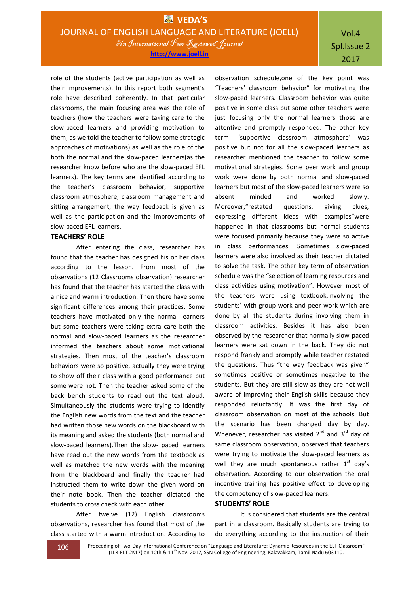# Vol.4 Spl.Issue 2 2017

role of the students (active participation as well as their improvements). In this report both segment's role have described coherently. In that particular classrooms, the main focusing area was the role of teachers (how the teachers were taking care to the slow-paced learners and providing motivation to them; as we told the teacher to follow some strategic approaches of motivations) as well as the role of the both the normal and the slow-paced learners(as the researcher know before who are the slow-paced EFL learners). The key terms are identified according to the teacher's classroom behavior, supportive classroom atmosphere, classroom management and sitting arrangement, the way feedback is given as well as the participation and the improvements of slow-paced EFL learners.

# **TEACHERS' ROLE**

After entering the class, researcher has found that the teacher has designed his or her class according to the lesson. From most of the observations (12 Classrooms observation) researcher has found that the teacher has started the class with a nice and warm introduction. Then there have some significant differences among their practices. Some teachers have motivated only the normal learners but some teachers were taking extra care both the normal and slow-paced learners as the researcher informed the teachers about some motivational strategies. Then most of the teacher's classroom behaviors were so positive, actually they were trying to show off their class with a good performance but some were not. Then the teacher asked some of the back bench students to read out the text aloud. Simultaneously the students were trying to identify the English new words from the text and the teacher had written those new words on the blackboard with its meaning and asked the students (both normal and slow-paced learners).Then the slow- paced learners have read out the new words from the textbook as well as matched the new words with the meaning from the blackboard and finally the teacher had instructed them to write down the given word on their note book. Then the teacher dictated the students to cross check with each other.

After twelve (12) English classrooms observations, researcher has found that most of the class started with a warm introduction. According to

observation schedule,one of the key point was "Teachers' classroom behavior" for motivating the slow-paced learners. Classroom behavior was quite positive in some class but some other teachers were just focusing only the normal learners those are attentive and promptly responded. The other key term -'supportive classroom atmosphere' was positive but not for all the slow-paced learners as researcher mentioned the teacher to follow some motivational strategies. Some peer work and group work were done by both normal and slow-paced learners but most of the slow-paced learners were so absent minded and worked slowly. Moreover,"restated questions, giving clues, expressing different ideas with examples"were happened in that classrooms but normal students were focused primarily because they were so active in class performances. Sometimes slow-paced learners were also involved as their teacher dictated to solve the task. The other key term of observation schedule was the "selection of learning resources and class activities using motivation". However most of the teachers were using textbook,involving the students' with group work and peer work which are done by all the students during involving them in classroom activities. Besides it has also been observed by the researcher that normally slow-paced learners were sat down in the back. They did not respond frankly and promptly while teacher restated the questions. Thus "the way feedback was given" sometimes positive or sometimes negative to the students. But they are still slow as they are not well aware of improving their English skills because they responded reluctantly. It was the first day of classroom observation on most of the schools. But the scenario has been changed day by day. Whenever, researcher has visited  $2^{nd}$  and  $3^{rd}$  day of same classroom observation, observed that teachers were trying to motivate the slow-paced learners as well they are much spontaneous rather  $1<sup>st</sup>$  day's observation. According to our observation the oral incentive training has positive effect to developing the competency of slow-paced learners.

### **STUDENTS' ROLE**

It is considered that students are the central part in a classroom. Basically students are trying to do everything according to the instruction of their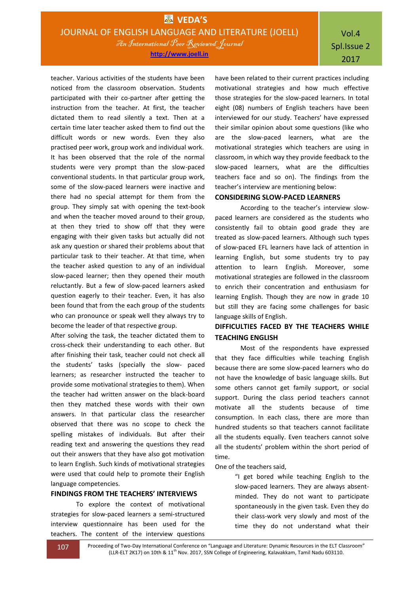Vol.4 Spl.Issue 2 2017

teacher. Various activities of the students have been noticed from the classroom observation. Students participated with their co-partner after getting the instruction from the teacher. At first, the teacher dictated them to read silently a text. Then at a certain time later teacher asked them to find out the difficult words or new words. Even they also practised peer work, group work and individual work. It has been observed that the role of the normal students were very prompt than the slow-paced conventional students. In that particular group work, some of the slow-paced learners were inactive and there had no special attempt for them from the group. They simply sat with opening the text-book and when the teacher moved around to their group, at then they tried to show off that they were engaging with their given tasks but actually did not ask any question or shared their problems about that particular task to their teacher. At that time, when the teacher asked question to any of an individual slow-paced learner; then they opened their mouth reluctantly. But a few of slow-paced learners asked question eagerly to their teacher. Even, it has also been found that from the each group of the students who can pronounce or speak well they always try to become the leader of that respective group.

After solving the task, the teacher dictated them to cross-check their understanding to each other. But after finishing their task, teacher could not check all the students' tasks (specially the slow- paced learners; as researcher instructed the teacher to provide some motivational strategies to them). When the teacher had written answer on the black-board then they matched these words with their own answers. In that particular class the researcher observed that there was no scope to check the spelling mistakes of individuals. But after their reading text and answering the questions they read out their answers that they have also got motivation to learn English. Such kinds of motivational strategies were used that could help to promote their English language competencies.

## **FINDINGS FROM THE TEACHERS' INTERVIEWS**

To explore the context of motivational strategies for slow-paced learners a semi-structured interview questionnaire has been used for the teachers. The content of the interview questions have been related to their current practices including motivational strategies and how much effective those strategies for the slow-paced learners. In total eight (08) numbers of English teachers have been interviewed for our study. Teachers' have expressed their similar opinion about some questions (like who are the slow-paced learners, what are the motivational strategies which teachers are using in classroom, in which way they provide feedback to the slow-paced learners, what are the difficulties teachers face and so on). The findings from the teacher's interview are mentioning below:

# **CONSIDERING SLOW-PACED LEARNERS**

According to the teacher's interview slowpaced learners are considered as the students who consistently fail to obtain good grade they are treated as slow-paced learners. Although such types of slow-paced EFL learners have lack of attention in learning English, but some students try to pay attention to learn English. Moreover, some motivational strategies are followed in the classroom to enrich their concentration and enthusiasm for learning English. Though they are now in grade 10 but still they are facing some challenges for basic language skills of English.

# **DIFFICULTIES FACED BY THE TEACHERS WHILE TEACHING ENGLISH**

Most of the respondents have expressed that they face difficulties while teaching English because there are some slow-paced learners who do not have the knowledge of basic language skills. But some others cannot get family support, or social support. During the class period teachers cannot motivate all the students because of time consumption. In each class, there are more than hundred students so that teachers cannot facilitate all the students equally. Even teachers cannot solve all the students' problem within the short period of time.

One of the teachers said,

"I get bored while teaching English to the slow-paced learners. They are always absentminded. They do not want to participate spontaneously in the given task. Even they do their class-work very slowly and most of the time they do not understand what their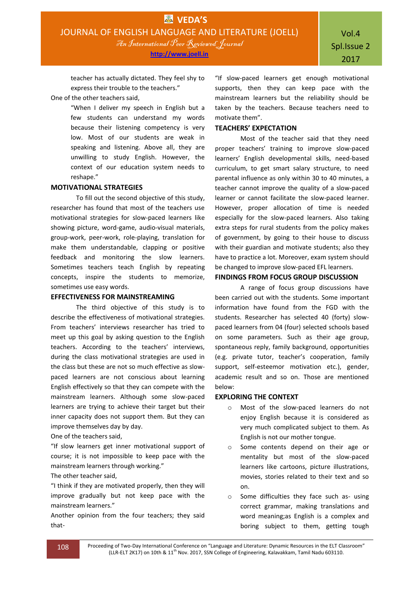teacher has actually dictated. They feel shy to express their trouble to the teachers."

One of the other teachers said,

"When I deliver my speech in English but a few students can understand my words because their listening competency is very low. Most of our students are weak in speaking and listening. Above all, they are unwilling to study English. However, the context of our education system needs to reshape."

## **MOTIVATIONAL STRATEGIES**

To fill out the second objective of this study, researcher has found that most of the teachers use motivational strategies for slow-paced learners like showing picture, word-game, audio-visual materials, group-work, peer-work, role-playing, translation for make them understandable, clapping or positive feedback and monitoring the slow learners. Sometimes teachers teach English by repeating concepts, inspire the students to memorize, sometimes use easy words.

# **EFFECTIVENESS FOR MAINSTREAMING**

The third objective of this study is to describe the effectiveness of motivational strategies. From teachers' interviews researcher has tried to meet up this goal by asking question to the English teachers. According to the teachers' interviews, during the class motivational strategies are used in the class but these are not so much effective as slowpaced learners are not conscious about learning English effectively so that they can compete with the mainstream learners. Although some slow-paced learners are trying to achieve their target but their inner capacity does not support them. But they can improve themselves day by day.

One of the teachers said,

"If slow learners get inner motivational support of course; it is not impossible to keep pace with the mainstream learners through working."

The other teacher said,

"I think if they are motivated properly, then they will improve gradually but not keep pace with the mainstream learners."

Another opinion from the four teachers; they said that-

"If slow-paced learners get enough motivational supports, then they can keep pace with the mainstream learners but the reliability should be taken by the teachers. Because teachers need to motivate them".

# **TEACHERS' EXPECTATION**

Most of the teacher said that they need proper teachers' training to improve slow-paced learners' English developmental skills, need-based curriculum, to get smart salary structure, to need parental influence as only within 30 to 40 minutes, a teacher cannot improve the quality of a slow-paced learner or cannot facilitate the slow-paced learner. However, proper allocation of time is needed especially for the slow-paced learners. Also taking extra steps for rural students from the policy makes of government, by going to their house to discuss with their guardian and motivate students; also they have to practice a lot. Moreover, exam system should be changed to improve slow-paced EFL learners.

# **FINDINGS FROM FOCUS GROUP DISCUSSION**

A range of focus group discussions have been carried out with the students. Some important information have found from the FGD with the students. Researcher has selected 40 (forty) slowpaced learners from 04 (four) selected schools based on some parameters. Such as their age group, spontaneous reply, family background, opportunities (e.g. private tutor, teacher's cooperation, family support, self-esteemor motivation etc.), gender, academic result and so on. Those are mentioned below:

# **EXPLORING THE CONTEXT**

- o Most of the slow-paced learners do not enjoy English because it is considered as very much complicated subject to them. As English is not our mother tongue.
- o Some contents depend on their age or mentality but most of the slow-paced learners like cartoons, picture illustrations, movies, stories related to their text and so on.
- o Some difficulties they face such as- using correct grammar, making translations and word meaning;as English is a complex and boring subject to them, getting tough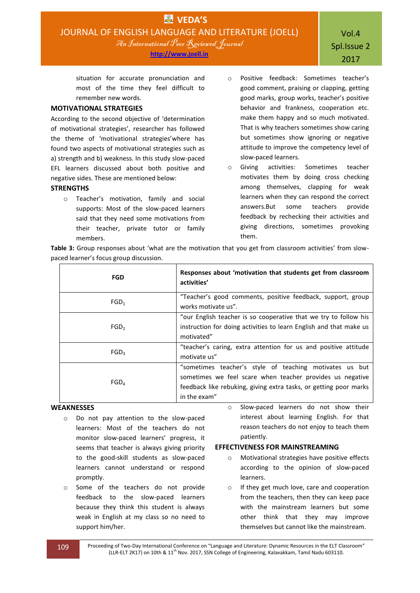situation for accurate pronunciation and most of the time they feel difficult to remember new words.

# **MOTIVATIONAL STRATEGIES**

According to the second objective of 'determination of motivational strategies', researcher has followed the theme of 'motivational strategies'where has found two aspects of motivational strategies such as a) strength and b) weakness. In this study slow-paced EFL learners discussed about both positive and negative sides. These are mentioned below:

# **STRENGTHS**

- o Teacher's motivation, family and social supports: Most of the slow-paced learners said that they need some motivations from their teacher, private tutor or family members.
- o Positive feedback: Sometimes teacher's good comment, praising or clapping, getting good marks, group works, teacher's positive behavior and frankness, cooperation etc. make them happy and so much motivated. That is why teachers sometimes show caring but sometimes show ignoring or negative attitude to improve the competency level of slow-paced learners.
- o Giving activities: Sometimes teacher motivates them by doing cross checking among themselves, clapping for weak learners when they can respond the correct answers.But some teachers provide feedback by rechecking their activities and giving directions, sometimes provoking them.

**Table 3:** Group responses about 'what are the motivation that you get from classroom activities' from slowpaced learner's focus group discussion.

| <b>FGD</b>       | Responses about 'motivation that students get from classroom<br>activities'                                                                                                                               |
|------------------|-----------------------------------------------------------------------------------------------------------------------------------------------------------------------------------------------------------|
| FGD <sub>1</sub> | "Teacher's good comments, positive feedback, support, group<br>works motivate us".                                                                                                                        |
| FGD <sub>2</sub> | "our English teacher is so cooperative that we try to follow his<br>instruction for doing activities to learn English and that make us<br>motivated"                                                      |
| FGD <sub>3</sub> | "teacher's caring, extra attention for us and positive attitude<br>motivate us"                                                                                                                           |
| FGD <sub>4</sub> | "sometimes teacher's style of teaching motivates us but<br>sometimes we feel scare when teacher provides us negative<br>feedback like rebuking, giving extra tasks, or getting poor marks<br>in the exam" |

# **WEAKNESSES**

- o Do not pay attention to the slow-paced learners: Most of the teachers do not monitor slow-paced learners' progress, it seems that teacher is always giving priority to the good-skill students as slow-paced learners cannot understand or respond promptly.
- o Some of the teachers do not provide feedback to the slow-paced learners because they think this student is always weak in English at my class so no need to support him/her.
- o Slow-paced learners do not show their interest about learning English. For that reason teachers do not enjoy to teach them patiently.

## **EFFECTIVENESS FOR MAINSTREAMING**

- o Motivational strategies have positive effects according to the opinion of slow-paced learners.
- o If they get much love, care and cooperation from the teachers, then they can keep pace with the mainstream learners but some other think that they may improve themselves but cannot like the mainstream.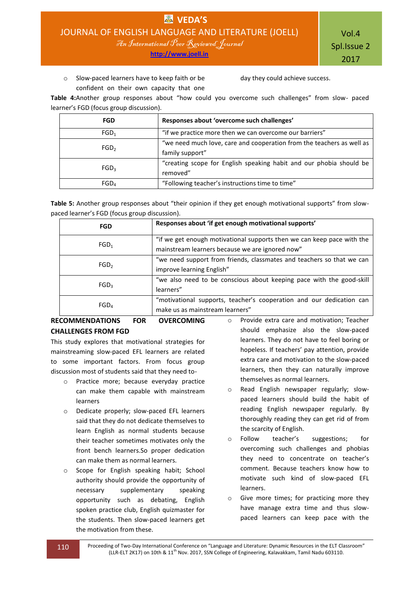Vol.4 Spl.Issue 2 2017

o Slow-paced learners have to keep faith or be confident on their own capacity that one day they could achieve success.

**Table 4:**Another group responses about "how could you overcome such challenges" from slow- paced learner's FGD (focus group discussion).

| FGD              | Responses about 'overcome such challenges'                                               |
|------------------|------------------------------------------------------------------------------------------|
| FGD <sub>1</sub> | "if we practice more then we can overcome our barriers"                                  |
| FGD <sub>2</sub> | "we need much love, care and cooperation from the teachers as well as<br>family support" |
| FGD <sub>3</sub> | "creating scope for English speaking habit and our phobia should be<br>removed"          |
| FGD <sub>A</sub> | "Following teacher's instructions time to time"                                          |

Table 5: Another group responses about "their opinion if they get enough motivational supports" from slowpaced learner's FGD (focus group discussion).

| FGD              | Responses about 'if get enough motivational supports'                                                                     |
|------------------|---------------------------------------------------------------------------------------------------------------------------|
| FGD <sub>1</sub> | "if we get enough motivational supports then we can keep pace with the<br>mainstream learners because we are ignored now" |
| FGD <sub>2</sub> | "we need support from friends, classmates and teachers so that we can<br>improve learning English"                        |
| FGD <sub>3</sub> | "we also need to be conscious about keeping pace with the good-skill<br>learners"                                         |
| FGD <sub>4</sub> | "motivational supports, teacher's cooperation and our dedication can<br>make us as mainstream learners"                   |

# **RECOMMENDATIONS FOR OVERCOMING CHALLENGES FROM FGD**

This study explores that motivational strategies for mainstreaming slow-paced EFL learners are related to some important factors. From focus group discussion most of students said that they need to-

- o Practice more; because everyday practice can make them capable with mainstream learners
- o Dedicate properly; slow-paced EFL learners said that they do not dedicate themselves to learn English as normal students because their teacher sometimes motivates only the front bench learners.So proper dedication can make them as normal learners.
- o Scope for English speaking habit; School authority should provide the opportunity of necessary supplementary speaking opportunity such as debating, English spoken practice club, English quizmaster for the students. Then slow-paced learners get the motivation from these.
- o Provide extra care and motivation; Teacher should emphasize also the slow-paced learners. They do not have to feel boring or hopeless. If teachers' pay attention, provide extra care and motivation to the slow-paced learners, then they can naturally improve themselves as normal learners.
- o Read English newspaper regularly; slowpaced learners should build the habit of reading English newspaper regularly. By thoroughly reading they can get rid of from the scarcity of English.
- o Follow teacher's suggestions; for overcoming such challenges and phobias they need to concentrate on teacher's comment. Because teachers know how to motivate such kind of slow-paced EFL learners.
- o Give more times; for practicing more they have manage extra time and thus slowpaced learners can keep pace with the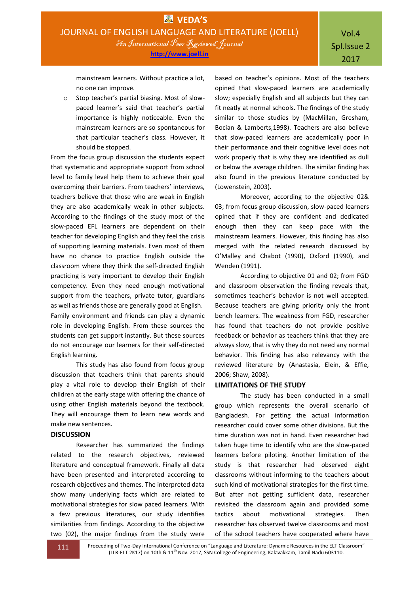mainstream learners. Without practice a lot, no one can improve.

o Stop teacher's partial biasing. Most of slowpaced learner's said that teacher's partial importance is highly noticeable. Even the mainstream learners are so spontaneous for that particular teacher's class. However, it should be stopped.

From the focus group discussion the students expect that systematic and appropriate support from school level to family level help them to achieve their goal overcoming their barriers. From teachers' interviews, teachers believe that those who are weak in English they are also academically weak in other subjects. According to the findings of the study most of the slow-paced EFL learners are dependent on their teacher for developing English and they feel the crisis of supporting learning materials. Even most of them have no chance to practice English outside the classroom where they think the self-directed English practicing is very important to develop their English competency. Even they need enough motivational support from the teachers, private tutor, guardians as well as friends those are generally good at English. Family environment and friends can play a dynamic role in developing English. From these sources the students can get support instantly. But these sources do not encourage our learners for their self-directed English learning.

This study has also found from focus group discussion that teachers think that parents should play a vital role to develop their English of their children at the early stage with offering the chance of using other English materials beyond the textbook. They will encourage them to learn new words and make new sentences.

## **DISCUSSION**

Researcher has summarized the findings related to the research objectives, reviewed literature and conceptual framework. Finally all data have been presented and interpreted according to research objectives and themes. The interpreted data show many underlying facts which are related to motivational strategies for slow paced learners. With a few previous literatures, our study identifies similarities from findings. According to the objective two (02), the major findings from the study were

based on teacher's opinions. Most of the teachers opined that slow-paced learners are academically slow; especially English and all subjects but they can fit neatly at normal schools. The findings of the study similar to those studies by (MacMillan, Gresham, Bocian & Lamberts,1998). Teachers are also believe that slow-paced learners are academically poor in their performance and their cognitive level does not work properly that is why they are identified as dull or below the average children. The similar finding has also found in the previous literature conducted by (Lowenstein, 2003).

Moreover, according to the objective 02& 03; from focus group discussion, slow-paced learners opined that if they are confident and dedicated enough then they can keep pace with the mainstream learners. However, this finding has also merged with the related research discussed by O'Malley and Chabot (1990), Oxford (1990), and Wenden (1991).

According to objective 01 and 02; from FGD and classroom observation the finding reveals that, sometimes teacher's behavior is not well accepted. Because teachers are giving priority only the front bench learners. The weakness from FGD, researcher has found that teachers do not provide positive feedback or behavior as teachers think that they are always slow, that is why they do not need any normal behavior. This finding has also relevancy with the reviewed literature by (Anastasia, Elein, & Effie, 2006; Shaw, 2008).

## **LIMITATIONS OF THE STUDY**

The study has been conducted in a small group which represents the overall scenario of Bangladesh. For getting the actual information researcher could cover some other divisions. But the time duration was not in hand. Even researcher had taken huge time to identify who are the slow-paced learners before piloting. Another limitation of the study is that researcher had observed eight classrooms without informing to the teachers about such kind of motivational strategies for the first time. But after not getting sufficient data, researcher revisited the classroom again and provided some tactics about motivational strategies. Then researcher has observed twelve classrooms and most of the school teachers have cooperated where have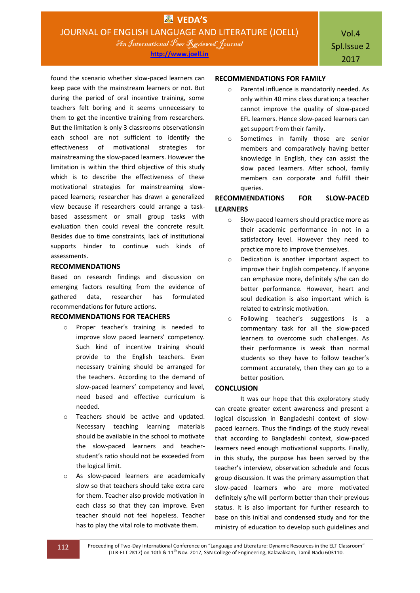**http://www.joell.in**

found the scenario whether slow-paced learners can keep pace with the mainstream learners or not. But during the period of oral incentive training, some teachers felt boring and it seems unnecessary to them to get the incentive training from researchers. But the limitation is only 3 classrooms observationsin each school are not sufficient to identify the effectiveness of motivational strategies for mainstreaming the slow-paced learners. However the limitation is within the third objective of this study which is to describe the effectiveness of these motivational strategies for mainstreaming slowpaced learners; researcher has drawn a generalized view because if researchers could arrange a taskbased assessment or small group tasks with evaluation then could reveal the concrete result. Besides due to time constraints, lack of institutional supports hinder to continue such kinds of assessments.

#### **RECOMMENDATIONS**

Based on research findings and discussion on emerging factors resulting from the evidence of gathered data, researcher has formulated recommendations for future actions.

#### **RECOMMENDATIONS FOR TEACHERS**

- o Proper teacher's training is needed to improve slow paced learners' competency. Such kind of incentive training should provide to the English teachers. Even necessary training should be arranged for the teachers. According to the demand of slow-paced learners' competency and level, need based and effective curriculum is needed.
- Teachers should be active and updated. Necessary teaching learning materials should be available in the school to motivate the slow-paced learners and teacherstudent's ratio should not be exceeded from the logical limit.
- o As slow-paced learners are academically slow so that teachers should take extra care for them. Teacher also provide motivation in each class so that they can improve. Even teacher should not feel hopeless. Teacher has to play the vital role to motivate them.

#### **RECOMMENDATIONS FOR FAMILY**

- o Parental influence is mandatorily needed. As only within 40 mins class duration; a teacher cannot improve the quality of slow-paced EFL learners. Hence slow-paced learners can get support from their family.
- o Sometimes in family those are senior members and comparatively having better knowledge in English, they can assist the slow paced learners. After school, family members can corporate and fulfill their queries.

# **RECOMMENDATIONS FOR SLOW-PACED LEARNERS**

- o Slow-paced learners should practice more as their academic performance in not in a satisfactory level. However they need to practice more to improve themselves.
- o Dedication is another important aspect to improve their English competency. If anyone can emphasize more, definitely s/he can do better performance. However, heart and soul dedication is also important which is related to extrinsic motivation.
- o Following teacher's suggestions is a commentary task for all the slow-paced learners to overcome such challenges. As their performance is weak than normal students so they have to follow teacher's comment accurately, then they can go to a better position.

# **CONCLUSION**

It was our hope that this exploratory study can create greater extent awareness and present a logical discussion in Bangladeshi context of slowpaced learners. Thus the findings of the study reveal that according to Bangladeshi context, slow-paced learners need enough motivational supports. Finally, in this study, the purpose has been served by the teacher's interview, observation schedule and focus group discussion. It was the primary assumption that slow-paced learners who are more motivated definitely s/he will perform better than their previous status. It is also important for further research to base on this initial and condensed study and for the ministry of education to develop such guidelines and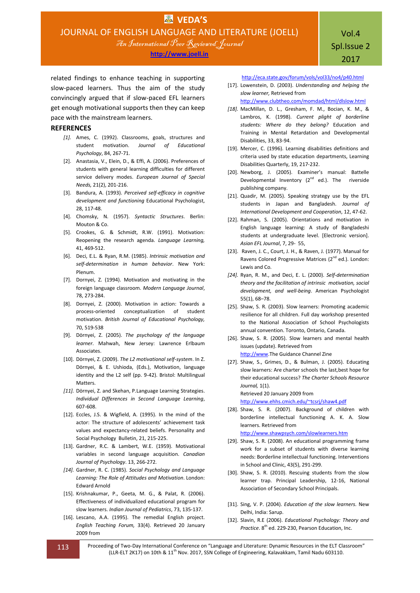**http://www.joell.in**

related findings to enhance teaching in supporting slow-paced learners. Thus the aim of the study convincingly argued that if slow-paced EFL learners get enough motivational supports then they can keep pace with the mainstream learners.

#### **REFERENCES**

- [1]. Ames, C. (1992). Classrooms, goals, structures and student motivation. *Journal of Educational Psychology*, 84, 267-71.
- [2]. Anastasia, V., Elein, D., & Effi, A. (2006). Preferences of students with general learning difficulties for different service delivery modes. *European Journal of Special Needs,* 21(2), 201-216.
- [3]. Bandura, A. (1993). *Perceived self-efficacy in cognitive development and functioning* Educational Psychologist, 28, 117-48.
- [4]. Chomsky, N. (1957). *Syntactic Structures*. Berlin: Mouton & Co.
- [5]. Crookes, G. & Schmidt, R.W. (1991). Motivation: Reopening the research agenda. *Language Learning,* 41, 469-512.
- [6]. Deci, E.L. & Ryan, R.M. (1985). *Intrinsic motivation and self-determination in human behavior*. New York: Plenum.
- [7]. Dornyei, Z. (1994). Motivation and motivating in the foreign language classroom. *Modern Language Journal*, 78, 273-284.
- [8]. Dornyei, Z. (2000). Motivation in action: Towards a process-oriented conceptualization of student motivation. *British Journal of Educational Psychology,*  70, 519-538
- [9]. Dörnyei, Z. (2005). *The psychology of the language learner*. Mahwah, New Jersey: Lawrence Erlbaum Associates.
- [10]. Dörnyei, Z. (2009). *The L2 motivational self-system*. In Z. Dörnyei, & E. Ushioda, (Eds.), Motivation, language identity and the L2 self (pp. 9-42). Bristol: Multilingual Matters.
- *[11].* Dörnyei, Z. and Skehan, P.Language Learning Strategies. *Individual Differences in Second Language Learning*, 607-608.
- [12]. Eccles, J.S. & Wigfield, A. (1995). In the mind of the actor: The structure of adolescents' achievement task values and expectancy-related beliefs. Personality and Social Psychology Bulletin, 21, 215-225.
- [13]. Gardner, R.C. & Lambert, W.E. (1959). Motivational variables in second language acquisition. *Canadian Journal of Psychology*. 13, 266-272.
- *[14].* Gardner, R. C. (1985). *Social Psychology and Language Learning: The Role of Attitudes and Motivation*. London: Edward Arnold
- [15]. Krishnakumar, P., Geeta, M. G., & Palat, R. (2006). Effectiveness of individualized educational program for slow learners. *Indian Journal of Pediatrics*, 73, 135-137.
- [16]. Lescano, A.A. (1995). The remedial English project. *English Teaching Forum,* 33(4). Retrieved 20 January 2009 from

Spl.Issue 2 2017

Vol.4

<http://eca.state.gov/forum/vols/vol33/no4/p40.html>

[17]. Lowenstein, D. (2003). *Understanding and helping the slow learner,* Retrieved from

<http://www.clubtheo.com/momdad/html/dlslow.html>

- *[18].* MacMillan, D. L., Gresham, F. M., Bocian, K. M., & Lambros, K. (1998). *Current plight of borderline students: Where do they belong?* Education and Training in Mental Retardation and Developmental Disabilities, 33, 83-94.
- [19]. Mercer, C. (1996). Learning disabilities definitions and criteria used by state education departments, Learning Disabilities Quarterly, 19, 217-232.
- [20]. Newborg, J. (2005). Examiner's manual: Battelle Developmental Inventory  $(2^{nd}$  ed.). The riverside publishing company.
- [21]. Quadir, M. (2005). Speaking strategy use by the EFL students in Japan and Bangladesh. *Journal of International Development and Cooperation*, 12, 47-62.
- [22]. Rahman, S. (2005). Orientations and motivation in English language learning: A study of Bangladeshi students at undergraduate level. [Electronic version]. *Asian EFL Journal*, 7, 29- 55,
- [23]. Raven, J. C., Court, J. H., & Raven, J. (1977). Manual for Ravens Colored Progressive Matrices (2<sup>nd</sup> ed.). London: Lewis and Co.
- *[24].* Ryan, R. M., and Deci, E. L. (2000). *Self-determination theory and the facilitation of intrinsic motivation, social development, and well-being*. American Psychologist 55(1), 68–78.
- [25]. Shaw, S. R. (2003). Slow learners: Promoting academic resilience for all children. Full day workshop presented to the National Association of School Psychologists annual convention. Toronto, Ontario, Canada.
- [26]. Shaw, S. R. (2005). Slow learners and mental health issues (update). Retrieved from [http://www.](http://www/)The Guidance Channel Zine
- [27]. Shaw, S., Grimes, D., & Bulman, J. (2005). Educating slow learners: Are charter schools the last,best hope for their educational success? *The Charter Schools Resource Journal,* 1(1). Retrieved 20 January 2009 from

<http://www.ehhs.cmich.edu/~tcsrj/shaw4.pdf>

- [28]. Shaw, S. R. (2007). Background of children with borderline intellectual functioning A. K. A. Slow learners. Retrieved from <http://www.shawpsych.com/slowlearners.htm>
- [29]. Shaw, S. R. (2008). An educational programming frame work for a subset of students with diverse learning needs: Borderline intellectual functioning. Interventions in School and Clinic, 43(5), 291-299.
- [30]. Shaw, S. R. (2010). Rescuing students from the slow learner trap. Principal Leadership, 12-16, National Association of Secondary School Principals.
- [31]. Sing, V. P. (2004). *Education of the slow learners.* New Delhi, India: Sarup.
- [32]. Slavin, R.E (2006). *Educational Psychology: Theory and*  Practice. 8<sup>th</sup> ed. 229-230, Pearson Education, Inc.